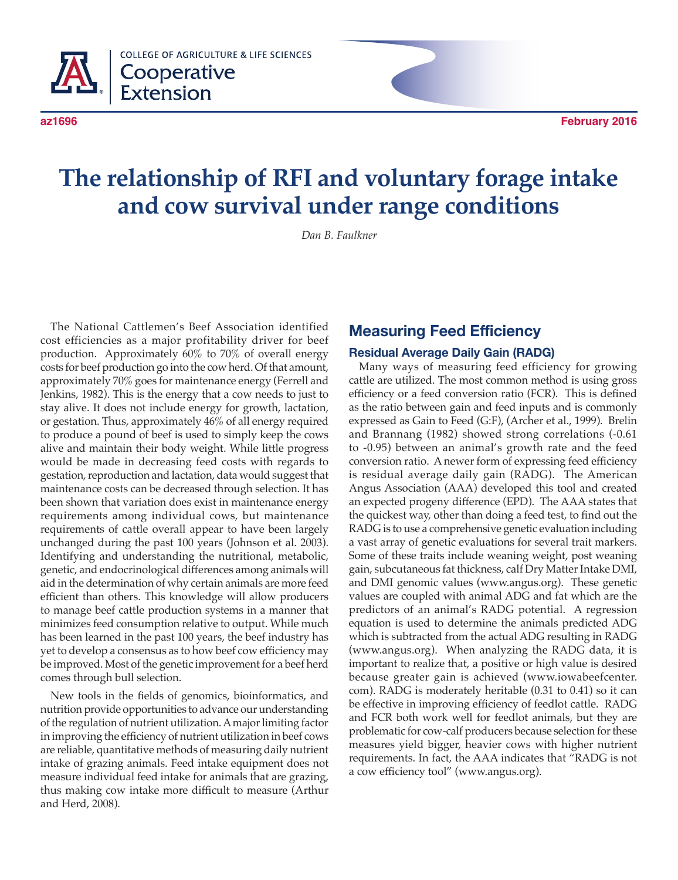

# **The relationship of RFI and voluntary forage intake and cow survival under range conditions**

*Dan B. Faulkner*

The National Cattlemen's Beef Association identified cost efficiencies as a major profitability driver for beef production. Approximately 60% to 70% of overall energy costs for beef production go into the cow herd. Of that amount, approximately 70% goes for maintenance energy (Ferrell and Jenkins, 1982). This is the energy that a cow needs to just to stay alive. It does not include energy for growth, lactation, or gestation. Thus, approximately 46% of all energy required to produce a pound of beef is used to simply keep the cows alive and maintain their body weight. While little progress would be made in decreasing feed costs with regards to gestation, reproduction and lactation, data would suggest that maintenance costs can be decreased through selection. It has been shown that variation does exist in maintenance energy requirements among individual cows, but maintenance requirements of cattle overall appear to have been largely unchanged during the past 100 years (Johnson et al. 2003). Identifying and understanding the nutritional, metabolic, genetic, and endocrinological differences among animals will aid in the determination of why certain animals are more feed efficient than others. This knowledge will allow producers to manage beef cattle production systems in a manner that minimizes feed consumption relative to output. While much has been learned in the past 100 years, the beef industry has yet to develop a consensus as to how beef cow efficiency may be improved. Most of the genetic improvement for a beef herd comes through bull selection.

New tools in the fields of genomics, bioinformatics, and nutrition provide opportunities to advance our understanding of the regulation of nutrient utilization. A major limiting factor in improving the efficiency of nutrient utilization in beef cows are reliable, quantitative methods of measuring daily nutrient intake of grazing animals. Feed intake equipment does not measure individual feed intake for animals that are grazing, thus making cow intake more difficult to measure (Arthur and Herd, 2008).

### **Measuring Feed Efficiency**

#### **Residual Average Daily Gain (RADG)**

Many ways of measuring feed efficiency for growing cattle are utilized. The most common method is using gross efficiency or a feed conversion ratio (FCR). This is defined as the ratio between gain and feed inputs and is commonly expressed as Gain to Feed (G:F), (Archer et al., 1999). Brelin and Brannang (1982) showed strong correlations (-0.61 to -0.95) between an animal's growth rate and the feed conversion ratio. A newer form of expressing feed efficiency is residual average daily gain (RADG). The American Angus Association (AAA) developed this tool and created an expected progeny difference (EPD). The AAA states that the quickest way, other than doing a feed test, to find out the RADG is to use a comprehensive genetic evaluation including a vast array of genetic evaluations for several trait markers. Some of these traits include weaning weight, post weaning gain, subcutaneous fat thickness, calf Dry Matter Intake DMI, and DMI genomic values (www.angus.org). These genetic values are coupled with animal ADG and fat which are the predictors of an animal's RADG potential. A regression equation is used to determine the animals predicted ADG which is subtracted from the actual ADG resulting in RADG (www.angus.org). When analyzing the RADG data, it is important to realize that, a positive or high value is desired because greater gain is achieved (www.iowabeefcenter. com). RADG is moderately heritable (0.31 to 0.41) so it can be effective in improving efficiency of feedlot cattle. RADG and FCR both work well for feedlot animals, but they are problematic for cow-calf producers because selection for these measures yield bigger, heavier cows with higher nutrient requirements. In fact, the AAA indicates that "RADG is not a cow efficiency tool" (www.angus.org).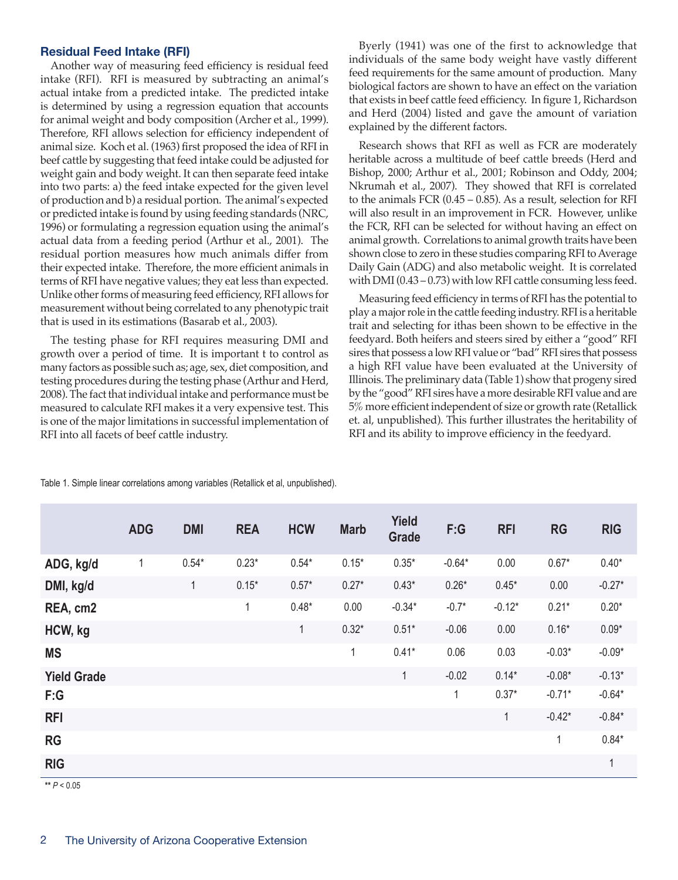#### **Residual Feed Intake (RFI)**

Another way of measuring feed efficiency is residual feed intake (RFI). RFI is measured by subtracting an animal's actual intake from a predicted intake. The predicted intake is determined by using a regression equation that accounts for animal weight and body composition (Archer et al., 1999). Therefore, RFI allows selection for efficiency independent of animal size. Koch et al. (1963) first proposed the idea of RFI in beef cattle by suggesting that feed intake could be adjusted for weight gain and body weight. It can then separate feed intake into two parts: a) the feed intake expected for the given level of production and b) a residual portion. The animal's expected or predicted intake is found by using feeding standards (NRC, 1996) or formulating a regression equation using the animal's actual data from a feeding period (Arthur et al., 2001). The residual portion measures how much animals differ from their expected intake. Therefore, the more efficient animals in terms of RFI have negative values; they eat less than expected. Unlike other forms of measuring feed efficiency, RFI allows for measurement without being correlated to any phenotypic trait that is used in its estimations (Basarab et al., 2003).

The testing phase for RFI requires measuring DMI and growth over a period of time. It is important t to control as many factors as possible such as; age, sex, diet composition, and testing procedures during the testing phase (Arthur and Herd, 2008). The fact that individual intake and performance must be measured to calculate RFI makes it a very expensive test. This is one of the major limitations in successful implementation of RFI into all facets of beef cattle industry.

Byerly (1941) was one of the first to acknowledge that individuals of the same body weight have vastly different feed requirements for the same amount of production. Many biological factors are shown to have an effect on the variation that exists in beef cattle feed efficiency. In figure 1, Richardson and Herd (2004) listed and gave the amount of variation explained by the different factors.

Research shows that RFI as well as FCR are moderately heritable across a multitude of beef cattle breeds (Herd and Bishop, 2000; Arthur et al., 2001; Robinson and Oddy, 2004; Nkrumah et al., 2007). They showed that RFI is correlated to the animals FCR (0.45 – 0.85). As a result, selection for RFI will also result in an improvement in FCR. However, unlike the FCR, RFI can be selected for without having an effect on animal growth. Correlations to animal growth traits have been shown close to zero in these studies comparing RFI to Average Daily Gain (ADG) and also metabolic weight. It is correlated with DMI (0.43 – 0.73) with low RFI cattle consuming less feed.

Measuring feed efficiency in terms of RFI has the potential to play a major role in the cattle feeding industry. RFI is a heritable trait and selecting for ithas been shown to be effective in the feedyard. Both heifers and steers sired by either a "good" RFI sires that possess a low RFI value or "bad" RFI sires that possess a high RFI value have been evaluated at the University of Illinois. The preliminary data (Table 1) show that progeny sired by the "good" RFI sires have a more desirable RFI value and are 5% more efficient independent of size or growth rate (Retallick et. al, unpublished). This further illustrates the heritability of RFI and its ability to improve efficiency in the feedyard.

|                    | <b>ADG</b>  | <b>DMI</b>   | <b>REA</b>   | <b>HCW</b> | <b>Marb</b>  | <b>Yield</b><br><b>Grade</b> | F:G      | <b>RFI</b>   | <b>RG</b>    | <b>RIG</b>   |
|--------------------|-------------|--------------|--------------|------------|--------------|------------------------------|----------|--------------|--------------|--------------|
| ADG, kg/d          | $\mathbf 1$ | $0.54*$      | $0.23*$      | $0.54*$    | $0.15*$      | $0.35*$                      | $-0.64*$ | 0.00         | $0.67*$      | $0.40*$      |
| DMI, kg/d          |             | $\mathbf{1}$ | $0.15*$      | $0.57*$    | $0.27*$      | $0.43*$                      | $0.26*$  | $0.45*$      | 0.00         | $-0.27*$     |
| REA, cm2           |             |              | $\mathbf{1}$ | $0.48*$    | 0.00         | $-0.34*$                     | $-0.7*$  | $-0.12*$     | $0.21*$      | $0.20*$      |
| HCW, kg            |             |              |              | 1          | $0.32*$      | $0.51*$                      | $-0.06$  | 0.00         | $0.16*$      | $0.09*$      |
| <b>MS</b>          |             |              |              |            | $\mathbf{1}$ | $0.41*$                      | 0.06     | 0.03         | $-0.03*$     | $-0.09*$     |
| <b>Yield Grade</b> |             |              |              |            |              | $\mathbf{1}$                 | $-0.02$  | $0.14*$      | $-0.08*$     | $-0.13*$     |
| F:G                |             |              |              |            |              |                              | 1        | $0.37*$      | $-0.71*$     | $-0.64*$     |
| <b>RFI</b>         |             |              |              |            |              |                              |          | $\mathbf{1}$ | $-0.42*$     | $-0.84*$     |
| <b>RG</b>          |             |              |              |            |              |                              |          |              | $\mathbf{1}$ | $0.84*$      |
| <b>RIG</b>         |             |              |              |            |              |                              |          |              |              | $\mathbf{1}$ |
| ** $P < 0.05$      |             |              |              |            |              |                              |          |              |              |              |

Table 1. Simple linear correlations among variables (Retallick et al, unpublished).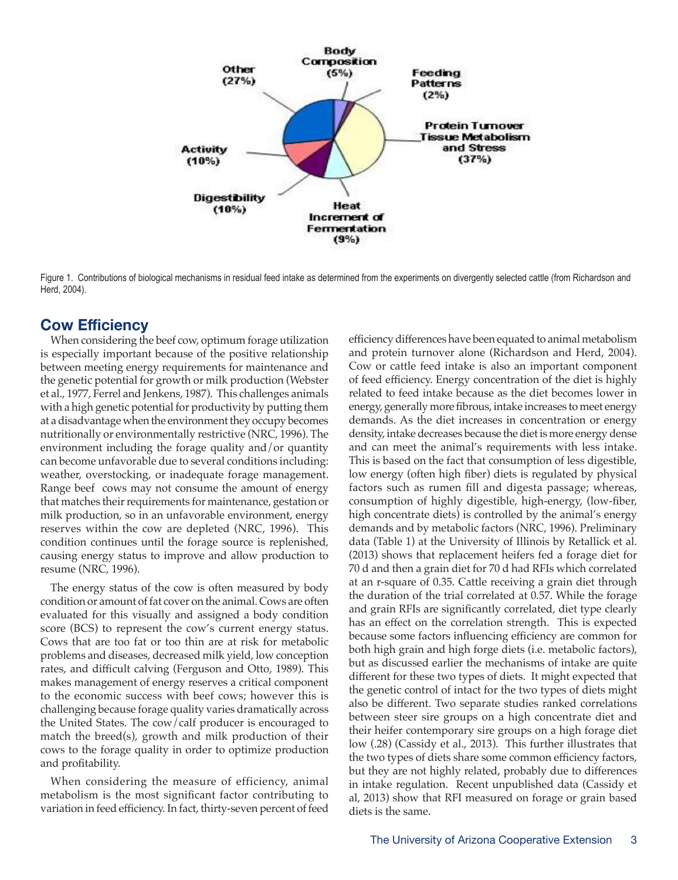

Figure 1. Contributions of biological mechanisms in residual feed intake as determined from the experiments on divergently selected cattle (from Richardson and Herd, 2004).

## **Cow Efficiency**

When considering the beef cow, optimum forage utilization is especially important because of the positive relationship between meeting energy requirements for maintenance and the genetic potential for growth or milk production (Webster et al., 1977, Ferrel and Jenkens, 1987). This challenges animals with a high genetic potential for productivity by putting them at a disadvantage when the environment they occupy becomes nutritionally or environmentally restrictive (NRC, 1996). The environment including the forage quality and/or quantity can become unfavorable due to several conditions including: weather, overstocking, or inadequate forage management. Range beef cows may not consume the amount of energy that matches their requirements for maintenance, gestation or milk production, so in an unfavorable environment, energy reserves within the cow are depleted (NRC, 1996). This condition continues until the forage source is replenished, causing energy status to improve and allow production to resume (NRC, 1996).

The energy status of the cow is often measured by body condition or amount of fat cover on the animal. Cows are often evaluated for this visually and assigned a body condition score (BCS) to represent the cow's current energy status. Cows that are too fat or too thin are at risk for metabolic problems and diseases, decreased milk yield, low conception rates, and difficult calving (Ferguson and Otto, 1989). This makes management of energy reserves a critical component to the economic success with beef cows; however this is challenging because forage quality varies dramatically across the United States. The cow/calf producer is encouraged to match the breed(s), growth and milk production of their cows to the forage quality in order to optimize production and profitability.

When considering the measure of efficiency, animal metabolism is the most significant factor contributing to variation in feed efficiency. In fact, thirty-seven percent of feed efficiency differences have been equated to animal metabolism and protein turnover alone (Richardson and Herd, 2004). Cow or cattle feed intake is also an important component of feed efficiency. Energy concentration of the diet is highly related to feed intake because as the diet becomes lower in energy, generally more fibrous, intake increases to meet energy demands. As the diet increases in concentration or energy density, intake decreases because the diet is more energy dense and can meet the animal's requirements with less intake. This is based on the fact that consumption of less digestible, low energy (often high fiber) diets is regulated by physical factors such as rumen fill and digesta passage; whereas, consumption of highly digestible, high-energy, (low-fiber, high concentrate diets) is controlled by the animal's energy demands and by metabolic factors (NRC, 1996). Preliminary data (Table 1) at the University of Illinois by Retallick et al. (2013) shows that replacement heifers fed a forage diet for 70 d and then a grain diet for 70 d had RFIs which correlated at an r-square of 0.35. Cattle receiving a grain diet through the duration of the trial correlated at 0.57. While the forage and grain RFIs are significantly correlated, diet type clearly has an effect on the correlation strength. This is expected because some factors influencing efficiency are common for both high grain and high forge diets (i.e. metabolic factors), but as discussed earlier the mechanisms of intake are quite different for these two types of diets. It might expected that the genetic control of intact for the two types of diets might also be different. Two separate studies ranked correlations between steer sire groups on a high concentrate diet and their heifer contemporary sire groups on a high forage diet low (.28) (Cassidy et al., 2013). This further illustrates that the two types of diets share some common efficiency factors, but they are not highly related, probably due to differences in intake regulation. Recent unpublished data (Cassidy et al, 2013) show that RFI measured on forage or grain based diets is the same.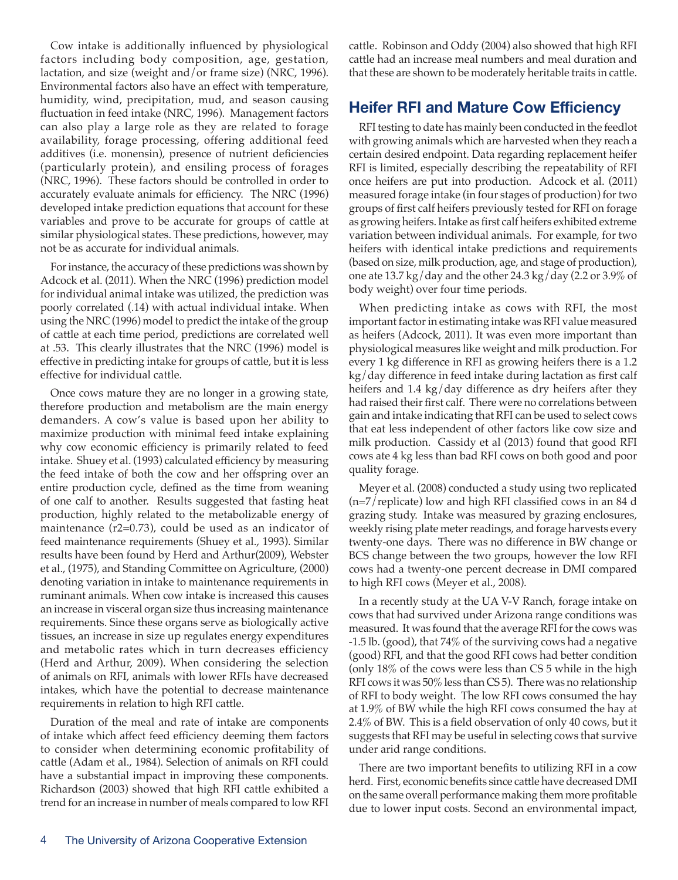Cow intake is additionally influenced by physiological factors including body composition, age, gestation, lactation, and size (weight and/or frame size) (NRC, 1996). Environmental factors also have an effect with temperature, humidity, wind, precipitation, mud, and season causing fluctuation in feed intake (NRC, 1996). Management factors can also play a large role as they are related to forage availability, forage processing, offering additional feed additives (i.e. monensin), presence of nutrient deficiencies (particularly protein), and ensiling process of forages (NRC, 1996). These factors should be controlled in order to accurately evaluate animals for efficiency. The NRC (1996) developed intake prediction equations that account for these variables and prove to be accurate for groups of cattle at similar physiological states. These predictions, however, may not be as accurate for individual animals.

For instance, the accuracy of these predictions was shown by Adcock et al. (2011). When the NRC (1996) prediction model for individual animal intake was utilized, the prediction was poorly correlated (.14) with actual individual intake. When using the NRC (1996) model to predict the intake of the group of cattle at each time period, predictions are correlated well at .53. This clearly illustrates that the NRC (1996) model is effective in predicting intake for groups of cattle, but it is less effective for individual cattle.

Once cows mature they are no longer in a growing state, therefore production and metabolism are the main energy demanders. A cow's value is based upon her ability to maximize production with minimal feed intake explaining why cow economic efficiency is primarily related to feed intake. Shuey et al. (1993) calculated efficiency by measuring the feed intake of both the cow and her offspring over an entire production cycle, defined as the time from weaning of one calf to another. Results suggested that fasting heat production, highly related to the metabolizable energy of maintenance (r2=0.73), could be used as an indicator of feed maintenance requirements (Shuey et al., 1993). Similar results have been found by Herd and Arthur(2009), Webster et al., (1975), and Standing Committee on Agriculture, (2000) denoting variation in intake to maintenance requirements in ruminant animals. When cow intake is increased this causes an increase in visceral organ size thus increasing maintenance requirements. Since these organs serve as biologically active tissues, an increase in size up regulates energy expenditures and metabolic rates which in turn decreases efficiency (Herd and Arthur, 2009). When considering the selection of animals on RFI, animals with lower RFIs have decreased intakes, which have the potential to decrease maintenance requirements in relation to high RFI cattle.

Duration of the meal and rate of intake are components of intake which affect feed efficiency deeming them factors to consider when determining economic profitability of cattle (Adam et al., 1984). Selection of animals on RFI could have a substantial impact in improving these components. Richardson (2003) showed that high RFI cattle exhibited a trend for an increase in number of meals compared to low RFI cattle. Robinson and Oddy (2004) also showed that high RFI cattle had an increase meal numbers and meal duration and that these are shown to be moderately heritable traits in cattle.

## **Heifer RFI and Mature Cow Efficiency**

RFI testing to date has mainly been conducted in the feedlot with growing animals which are harvested when they reach a certain desired endpoint. Data regarding replacement heifer RFI is limited, especially describing the repeatability of RFI once heifers are put into production. Adcock et al. (2011) measured forage intake (in four stages of production) for two groups of first calf heifers previously tested for RFI on forage as growing heifers. Intake as first calf heifers exhibited extreme variation between individual animals. For example, for two heifers with identical intake predictions and requirements (based on size, milk production, age, and stage of production), one ate 13.7 kg/day and the other 24.3 kg/day (2.2 or 3.9% of body weight) over four time periods.

When predicting intake as cows with RFI, the most important factor in estimating intake was RFI value measured as heifers (Adcock, 2011). It was even more important than physiological measures like weight and milk production. For every 1 kg difference in RFI as growing heifers there is a 1.2 kg/day difference in feed intake during lactation as first calf heifers and 1.4 kg/day difference as dry heifers after they had raised their first calf. There were no correlations between gain and intake indicating that RFI can be used to select cows that eat less independent of other factors like cow size and milk production. Cassidy et al (2013) found that good RFI cows ate 4 kg less than bad RFI cows on both good and poor quality forage.

Meyer et al. (2008) conducted a study using two replicated (n=7/replicate) low and high RFI classified cows in an 84 d grazing study. Intake was measured by grazing enclosures, weekly rising plate meter readings, and forage harvests every twenty-one days. There was no difference in BW change or BCS change between the two groups, however the low RFI cows had a twenty-one percent decrease in DMI compared to high RFI cows (Meyer et al., 2008).

In a recently study at the UA V-V Ranch, forage intake on cows that had survived under Arizona range conditions was measured. It was found that the average RFI for the cows was -1.5 lb. (good), that 74% of the surviving cows had a negative (good) RFI, and that the good RFI cows had better condition (only 18% of the cows were less than CS 5 while in the high RFI cows it was 50% less than CS 5). There was no relationship of RFI to body weight. The low RFI cows consumed the hay at 1.9% of BW while the high RFI cows consumed the hay at 2.4% of BW. This is a field observation of only 40 cows, but it suggests that RFI may be useful in selecting cows that survive under arid range conditions.

There are two important benefits to utilizing RFI in a cow herd. First, economic benefits since cattle have decreased DMI on the same overall performance making them more profitable due to lower input costs. Second an environmental impact,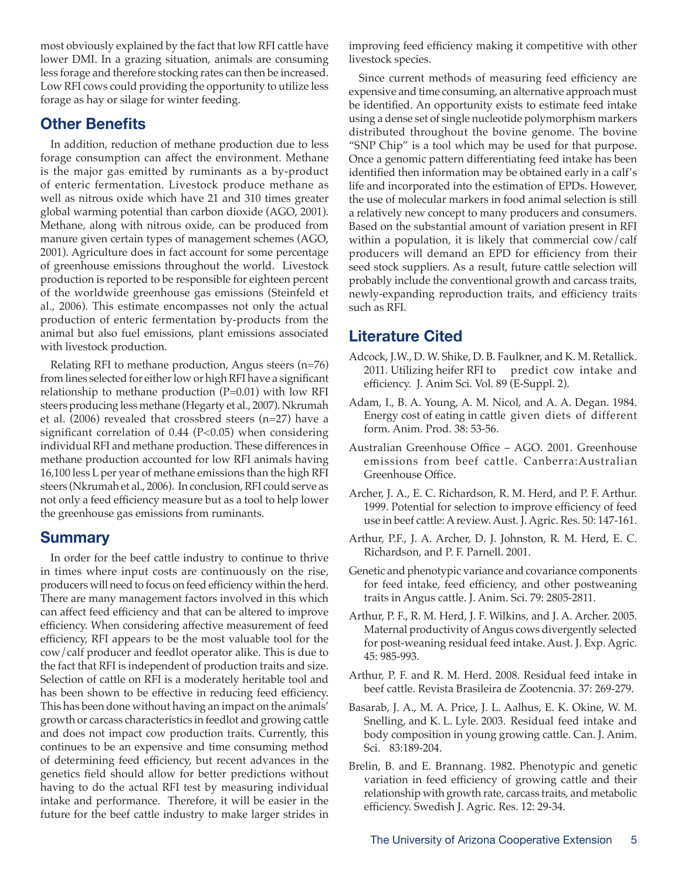most obviously explained by the fact that low RFI cattle have lower DMI. In a grazing situation, animals are consuming less forage and therefore stocking rates can then be increased. Low RFI cows could providing the opportunity to utilize less forage as hay or silage for winter feeding.

# **Other Benefits**

In addition, reduction of methane production due to less forage consumption can affect the environment. Methane is the major gas emitted by ruminants as a by-product of enteric fermentation. Livestock produce methane as well as nitrous oxide which have 21 and 310 times greater global warming potential than carbon dioxide (AGO, 2001). Methane, along with nitrous oxide, can be produced from manure given certain types of management schemes (AGO, 2001). Agriculture does in fact account for some percentage of greenhouse emissions throughout the world. Livestock production is reported to be responsible for eighteen percent of the worldwide greenhouse gas emissions (Steinfeld et al., 2006). This estimate encompasses not only the actual production of enteric fermentation by-products from the animal but also fuel emissions, plant emissions associated with livestock production.

Relating RFI to methane production, Angus steers (n=76) from lines selected for either low or high RFI have a significant relationship to methane production (P=0.01) with low RFI steers producing less methane (Hegarty et al., 2007). Nkrumah et al. (2006) revealed that crossbred steers (n=27) have a significant correlation of 0.44 (P<0.05) when considering individual RFI and methane production. These differences in methane production accounted for low RFI animals having 16,100 less L per year of methane emissions than the high RFI steers (Nkrumah et al., 2006). In conclusion, RFI could serve as not only a feed efficiency measure but as a tool to help lower the greenhouse gas emissions from ruminants.

# **Summary**

In order for the beef cattle industry to continue to thrive in times where input costs are continuously on the rise, producers will need to focus on feed efficiency within the herd. There are many management factors involved in this which can affect feed efficiency and that can be altered to improve efficiency. When considering affective measurement of feed efficiency, RFI appears to be the most valuable tool for the cow/calf producer and feedlot operator alike. This is due to the fact that RFI is independent of production traits and size. Selection of cattle on RFI is a moderately heritable tool and has been shown to be effective in reducing feed efficiency. This has been done without having an impact on the animals' growth or carcass characteristics in feedlot and growing cattle and does not impact cow production traits. Currently, this continues to be an expensive and time consuming method of determining feed efficiency, but recent advances in the genetics field should allow for better predictions without having to do the actual RFI test by measuring individual intake and performance. Therefore, it will be easier in the future for the beef cattle industry to make larger strides in improving feed efficiency making it competitive with other livestock species.

Since current methods of measuring feed efficiency are expensive and time consuming, an alternative approach must be identified. An opportunity exists to estimate feed intake using a dense set of single nucleotide polymorphism markers distributed throughout the bovine genome. The bovine "SNP Chip" is a tool which may be used for that purpose. Once a genomic pattern differentiating feed intake has been identified then information may be obtained early in a calf's life and incorporated into the estimation of EPDs. However, the use of molecular markers in food animal selection is still a relatively new concept to many producers and consumers. Based on the substantial amount of variation present in RFI within a population, it is likely that commercial cow/calf producers will demand an EPD for efficiency from their seed stock suppliers. As a result, future cattle selection will probably include the conventional growth and carcass traits, newly-expanding reproduction traits, and efficiency traits such as RFI.

# **Literature Cited**

- Adcock, J.W., D. W. Shike, D. B. Faulkner, and K. M. Retallick. 2011. Utilizing heifer RFI to predict cow intake and efficiency. J. Anim Sci. Vol. 89 (E-Suppl. 2).
- Adam, I., B. A. Young, A. M. Nicol, and A. A. Degan. 1984. Energy cost of eating in cattle given diets of different form. Anim. Prod. 38: 53-56.
- Australian Greenhouse Office AGO. 2001. Greenhouse emissions from beef cattle. Canberra:Australian Greenhouse Office.
- Archer, J. A., E. C. Richardson, R. M. Herd, and P. F. Arthur. 1999. Potential for selection to improve efficiency of feed use in beef cattle: A review. Aust. J. Agric. Res. 50: 147-161.
- Arthur, P.F., J. A. Archer, D. J. Johnston, R. M. Herd, E. C. Richardson, and P. F. Parnell. 2001.
- Genetic and phenotypic variance and covariance components for feed intake, feed efficiency, and other postweaning traits in Angus cattle. J. Anim. Sci. 79: 2805-2811.
- Arthur, P. F., R. M. Herd, J. F. Wilkins, and J. A. Archer. 2005. Maternal productivity of Angus cows divergently selected for post-weaning residual feed intake. Aust. J. Exp. Agric. 45: 985-993.
- Arthur, P. F. and R. M. Herd. 2008. Residual feed intake in beef cattle. Revista Brasileira de Zootencnia. 37: 269-279.
- Basarab, J. A., M. A. Price, J. L. Aalhus, E. K. Okine, W. M. Snelling, and K. L. Lyle. 2003. Residual feed intake and body composition in young growing cattle. Can. J. Anim. Sci. 83:189-204.
- Brelin, B. and E. Brannang. 1982. Phenotypic and genetic variation in feed efficiency of growing cattle and their relationship with growth rate, carcass traits, and metabolic efficiency. Swedish J. Agric. Res. 12: 29-34.